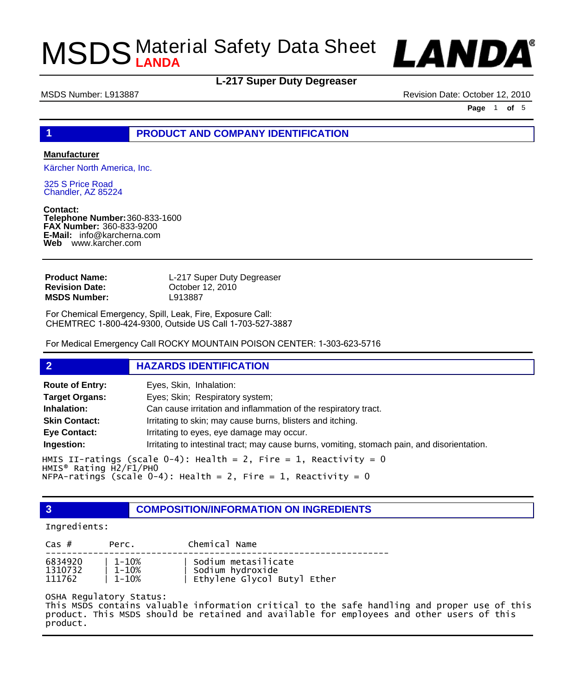

### **L-217 Super Duty Degreaser**

MSDS Number: L913887 Revision Date: October 12, 2010

**Page** 1 **of** 5

#### **1 PRODUCT AND COMPANY IDENTIFICATION**

#### **Manufacturer**

Kärcher North America, Inc.

325 S Price Road Chandler, AZ 85224

**Contact: Telephone Number:** 360-833-1600 **FAX Number:** 360-833-9200 **E-Mail:** info@karcherna.com **Web** www.karcher.com

| L-217 Super Duty Degreaser |
|----------------------------|
| October 12, 2010           |
| L913887                    |
|                            |

For Chemical Emergency, Spill, Leak, Fire, Exposure Call: CHEMTREC 1-800-424-9300, Outside US Call 1-703-527-3887

For Medical Emergency Call ROCKY MOUNTAIN POISON CENTER: 1-303-623-5716

#### **2 HAZARDS IDENTIFICATION**

| <b>Route of Entry:</b>            | Eyes, Skin, Inhalation:                                                                      |
|-----------------------------------|----------------------------------------------------------------------------------------------|
| <b>Target Organs:</b>             | Eyes; Skin; Respiratory system;                                                              |
| Inhalation:                       | Can cause irritation and inflammation of the respiratory tract.                              |
| <b>Skin Contact:</b>              | Irritating to skin; may cause burns, blisters and itching.                                   |
| Eye Contact:                      | Irritating to eyes, eye damage may occur.                                                    |
| Ingestion:                        | Irritating to intestinal tract; may cause burns, vomiting, stomach pain, and disorientation. |
| $HMIS^{\circ}$ Rating $H2/F1/PH0$ | HMIS II-ratings (scale 0-4): Health = 2, Fire = 1, Reactivity = 0                            |

NFPA-ratings (scale  $0-4$ ): Health = 2, Fire = 1, Reactivity = 0

**3 COMPOSITION/INFORMATION ON INGREDIENTS**

#### Ingredients:

| $\text{Cas }#$ | Perc.      | Chemical Name               |
|----------------|------------|-----------------------------|
| 6834920        | $1 - 10\%$ | Sodium metasilicate         |
| 1310732        | $1 - 10%$  | Sodium hydroxide            |
| 111762         | $1 - 10\%$ | Ethylene Glycol Butyl Ether |

#### OSHA Regulatory Status:

This MSDS contains valuable information critical to the safe handling and proper use of this product. This MSDS should be retained and available for employees and other users of this product.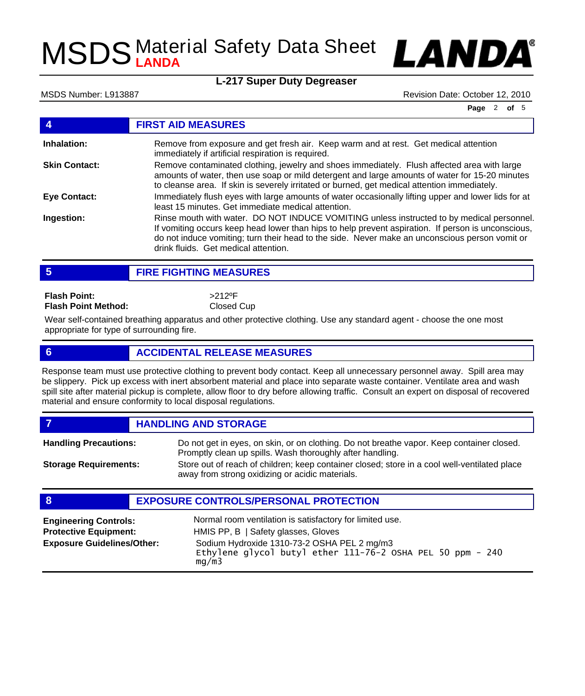

### **L-217 Super Duty Degreaser**

MSDS Number: L913887 Revision Date: October 12, 2010

**Page** 2 **of** 5

|                      | <b>FIRST AID MEASURES</b>                                                                                                                                                                                                                                                                                                                 |
|----------------------|-------------------------------------------------------------------------------------------------------------------------------------------------------------------------------------------------------------------------------------------------------------------------------------------------------------------------------------------|
| Inhalation:          | Remove from exposure and get fresh air. Keep warm and at rest. Get medical attention<br>immediately if artificial respiration is required.                                                                                                                                                                                                |
| <b>Skin Contact:</b> | Remove contaminated clothing, jewelry and shoes immediately. Flush affected area with large<br>amounts of water, then use soap or mild detergent and large amounts of water for 15-20 minutes<br>to cleanse area. If skin is severely irritated or burned, get medical attention immediately.                                             |
| <b>Eye Contact:</b>  | Immediately flush eyes with large amounts of water occasionally lifting upper and lower lids for at<br>least 15 minutes. Get immediate medical attention.                                                                                                                                                                                 |
| Ingestion:           | Rinse mouth with water. DO NOT INDUCE VOMITING unless instructed to by medical personnel.<br>If vomiting occurs keep head lower than hips to help prevent aspiration. If person is unconscious,<br>do not induce vomiting; turn their head to the side. Never make an unconscious person vomit or<br>drink fluids. Get medical attention. |
|                      |                                                                                                                                                                                                                                                                                                                                           |

**5 FIRE FIGHTING MEASURES**

**Flash Point: Flash Point Method:** >212ºF Closed Cup

Wear self-contained breathing apparatus and other protective clothing. Use any standard agent - choose the one most appropriate for type of surrounding fire.

### **6 ACCIDENTAL RELEASE MEASURES**

Response team must use protective clothing to prevent body contact. Keep all unnecessary personnel away. Spill area may be slippery. Pick up excess with inert absorbent material and place into separate waste container. Ventilate area and wash spill site after material pickup is complete, allow floor to dry before allowing traffic. Consult an expert on disposal of recovered material and ensure conformity to local disposal regulations.

*HANDLING AND STORAGE* Do not get in eyes, on skin, or on clothing. Do not breathe vapor. Keep container closed. **Handling Precautions:**

**Storage Requirements:**

Promptly clean up spills. Wash thoroughly after handling. Store out of reach of children; keep container closed; store in a cool well-ventilated place away from strong oxidizing or acidic materials.

### **8 EXPOSURE CONTROLS/PERSONAL PROTECTION**

| <b>Engineering Controls:</b>      | Normal room ventilation is satisfactory for limited use.                                                           |
|-----------------------------------|--------------------------------------------------------------------------------------------------------------------|
| <b>Protective Equipment:</b>      | HMIS PP, B   Safety glasses, Gloves                                                                                |
| <b>Exposure Guidelines/Other:</b> | Sodium Hydroxide 1310-73-2 OSHA PEL 2 mg/m3<br>Ethylene glycol butyl ether 111-76-2 OSHA PEL 50 ppm - 240<br>mq/m3 |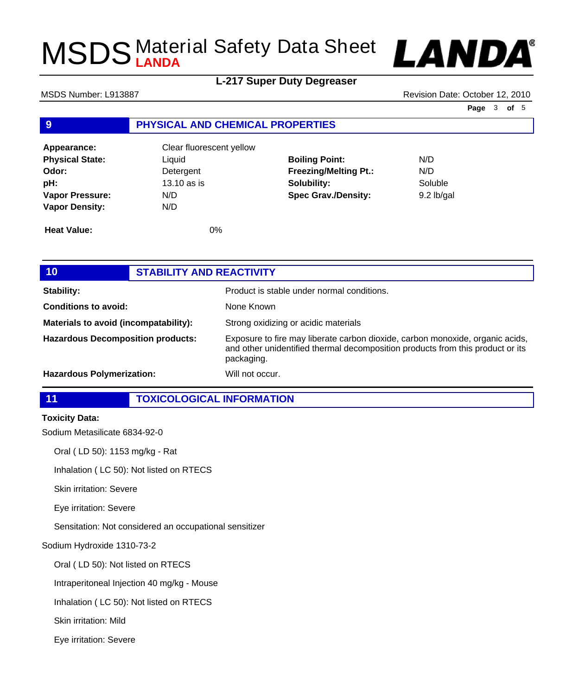

## **L-217 Super Duty Degreaser**

MSDS Number: L913887 **MSDS Number: L913887** Revision Date: October 12, 2010

**Page** 3 **of** 5

### **9 PHYSICAL AND CHEMICAL PROPERTIES**

| Appearance:            | Clear fluorescent yellow |                              |              |
|------------------------|--------------------------|------------------------------|--------------|
| <b>Physical State:</b> | Liquid                   | <b>Boiling Point:</b>        | N/D          |
| Odor:                  | Detergent                | <b>Freezing/Melting Pt.:</b> | N/D          |
| pH:                    | 13.10 as is              | Solubility:                  | Soluble      |
| <b>Vapor Pressure:</b> | N/D                      | <b>Spec Grav./Density:</b>   | $9.2$ lb/gal |
| <b>Vapor Density:</b>  | N/D                      |                              |              |
| <b>Heat Value:</b>     | 0%                       |                              |              |

| 10                                       | <b>STABILITY AND REACTIVITY</b> |                                                                                                                                                                               |
|------------------------------------------|---------------------------------|-------------------------------------------------------------------------------------------------------------------------------------------------------------------------------|
| Stability:                               |                                 | Product is stable under normal conditions.                                                                                                                                    |
| <b>Conditions to avoid:</b>              |                                 | None Known                                                                                                                                                                    |
| Materials to avoid (incompatability):    |                                 | Strong oxidizing or acidic materials                                                                                                                                          |
| <b>Hazardous Decomposition products:</b> |                                 | Exposure to fire may liberate carbon dioxide, carbon monoxide, organic acids,<br>and other unidentified thermal decomposition products from this product or its<br>packaging. |
| <b>Hazardous Polymerization:</b>         |                                 | Will not occur.                                                                                                                                                               |

### **11 TOXICOLOGICAL INFORMATION**

#### **Toxicity Data:**

Sodium Metasilicate 6834-92-0

Oral ( LD 50): 1153 mg/kg - Rat

Inhalation ( LC 50): Not listed on RTECS

Skin irritation: Severe

Eye irritation: Severe

Sensitation: Not considered an occupational sensitizer

Sodium Hydroxide 1310-73-2

Oral ( LD 50): Not listed on RTECS

Intraperitoneal Injection 40 mg/kg - Mouse

Inhalation ( LC 50): Not listed on RTECS

Skin irritation: Mild

Eye irritation: Severe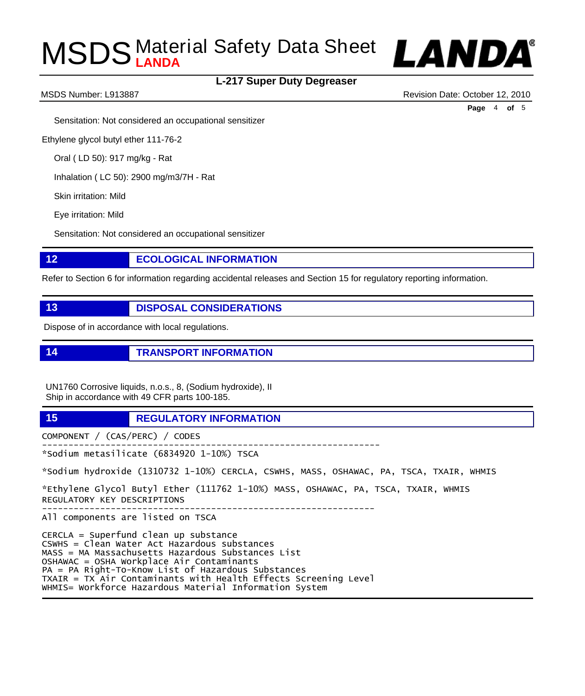



MSDS Number: L913887 Revision Date: October 12, 2010

**Page** 4 **of** 5

Sensitation: Not considered an occupational sensitizer

Ethylene glycol butyl ether 111-76-2

Oral ( LD 50): 917 mg/kg - Rat

Inhalation ( LC 50): 2900 mg/m3/7H - Rat

Skin irritation: Mild

Eye irritation: Mild

Sensitation: Not considered an occupational sensitizer

#### **12 ECOLOGICAL INFORMATION**

Refer to Section 6 for information regarding accidental releases and Section 15 for regulatory reporting information.

**13 DISPOSAL CONSIDERATIONS** 

Dispose of in accordance with local regulations.

**14 TRANSPORT INFORMATION**

UN1760 Corrosive liquids, n.o.s., 8, (Sodium hydroxide), II Ship in accordance with 49 CFR parts 100-185.

**15 REGULATORY INFORMATION**

COMPONENT / (CAS/PERC) / CODES

---------------------------------------------------------------- \*Sodium metasilicate (6834920 1-10%) TSCA

\*Sodium hydroxide (1310732 1-10%) CERCLA, CSWHS, MASS, OSHAWAC, PA, TSCA, TXAIR, WHMIS

\*Ethylene Glycol Butyl Ether (111762 1-10%) MASS, OSHAWAC, PA, TSCA, TXAIR, WHMIS REGULATORY KEY DESCRIPTIONS ---------------------------------------------------------------

All components are listed on TSCA

CERCLA = Superfund clean up substance CSWHS = Clean Water Act Hazardous substances MASS = MA Massachusetts Hazardous Substances List OSHAWAC = OSHA Workplace Air Contaminants PA = PA Right-To-Know List of Hazardous Substances TXAIR = TX Air Contaminants with Health Effects Screening Level WHMIS= Workforce Hazardous Material Information System